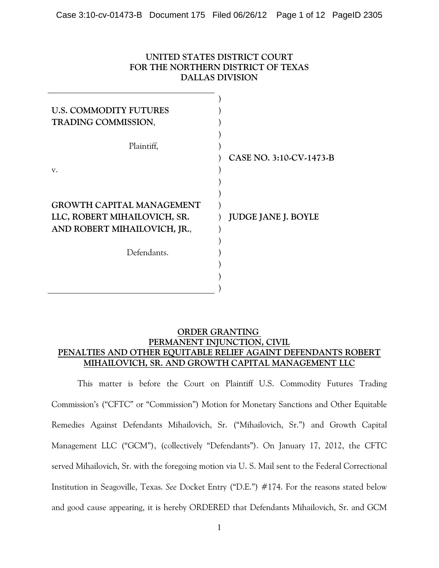# **UNITED STATES DISTRICT COURT FOR THE NORTHERN DISTRICT OF TEXAS DALLAS DIVISION**

| <b>U.S. COMMODITY FUTURES</b><br>TRADING COMMISSION,         |                            |
|--------------------------------------------------------------|----------------------------|
| Plaintiff,                                                   |                            |
|                                                              | CASE NO. 3:10-CV-1473-B    |
| v.                                                           |                            |
|                                                              |                            |
|                                                              |                            |
| <b>GROWTH CAPITAL MANAGEMENT</b>                             |                            |
| LLC, ROBERT MIHAILOVICH, SR.<br>AND ROBERT MIHAILOVICH, JR., | <b>JUDGE JANE J. BOYLE</b> |
|                                                              |                            |
| Defendants.                                                  |                            |
|                                                              |                            |
|                                                              |                            |
|                                                              |                            |

# **ORDER GRANTING PERMANENT INJUNCTION, CIVIL PENALTIES AND OTHER EQUITABLE RELIEF AGAINT DEFENDANTS ROBERT MIHAILOVICH, SR. AND GROWTH CAPITAL MANAGEMENT LLC**

This matter is before the Court on Plaintiff U.S. Commodity Futures Trading Commission's ("CFTC" or "Commission") Motion for Monetary Sanctions and Other Equitable Remedies Against Defendants Mihailovich, Sr. ("Mihailovich, Sr.") and Growth Capital Management LLC ("GCM"), (collectively "Defendants"). On January 17, 2012, the CFTC served Mihailovich, Sr. with the foregoing motion via U. S. Mail sent to the Federal Correctional Institution in Seagoville, Texas. *See* Docket Entry ("D.E.") #174. For the reasons stated below and good cause appearing, it is hereby ORDERED that Defendants Mihailovich, Sr. and GCM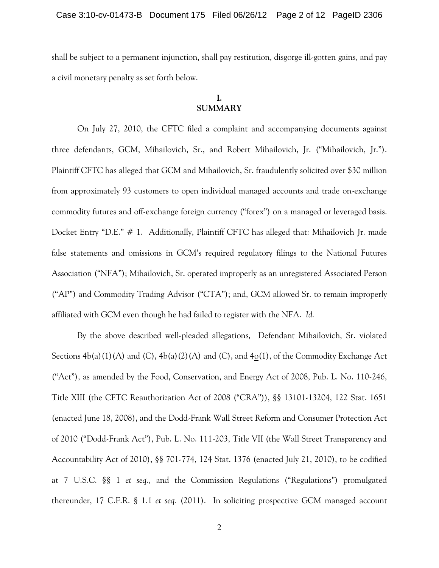shall be subject to a permanent injunction, shall pay restitution, disgorge ill-gotten gains, and pay a civil monetary penalty as set forth below.

# **I. SUMMARY**

On July 27, 2010, the CFTC filed a complaint and accompanying documents against three defendants, GCM, Mihailovich, Sr., and Robert Mihailovich, Jr. ("Mihailovich, Jr."). Plaintiff CFTC has alleged that GCM and Mihailovich, Sr. fraudulently solicited over \$30 million from approximately 93 customers to open individual managed accounts and trade on-exchange commodity futures and off-exchange foreign currency ("forex") on a managed or leveraged basis. Docket Entry "D.E." # 1. Additionally, Plaintiff CFTC has alleged that: Mihailovich Jr. made false statements and omissions in GCM's required regulatory filings to the National Futures Association ("NFA"); Mihailovich, Sr. operated improperly as an unregistered Associated Person ("AP") and Commodity Trading Advisor ("CTA"); and, GCM allowed Sr. to remain improperly affiliated with GCM even though he had failed to register with the NFA. *Id.*

By the above described well-pleaded allegations, Defendant Mihailovich, Sr. violated Sections  $4b(a)(1)(A)$  and  $(C)$ ,  $4b(a)(2)(A)$  and  $(C)$ , and  $4o(1)$ , of the Commodity Exchange Act ("Act"), as amended by the Food, Conservation, and Energy Act of 2008, Pub. L. No. 110-246, Title XIII (the CFTC Reauthorization Act of 2008 ("CRA")), §§ 13101-13204, 122 Stat. 1651 (enacted June 18, 2008), and the Dodd-Frank Wall Street Reform and Consumer Protection Act of 2010 ("Dodd-Frank Act"), Pub. L. No. 111-203, Title VII (the Wall Street Transparency and Accountability Act of 2010), §§ 701-774, 124 Stat. 1376 (enacted July 21, 2010), to be codified at 7 U.S.C. §§ 1 *et seq*., and the Commission Regulations ("Regulations") promulgated thereunder, 17 C.F.R. § 1.1 *et seq.* (2011). In soliciting prospective GCM managed account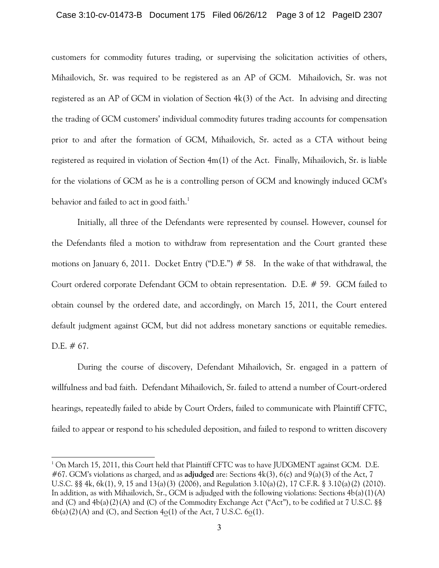#### Case 3:10-cv-01473-B Document 175 Filed 06/26/12 Page 3 of 12 PageID 2307

customers for commodity futures trading, or supervising the solicitation activities of others, Mihailovich, Sr. was required to be registered as an AP of GCM. Mihailovich, Sr. was not registered as an AP of GCM in violation of Section 4k(3) of the Act. In advising and directing the trading of GCM customers' individual commodity futures trading accounts for compensation prior to and after the formation of GCM, Mihailovich, Sr. acted as a CTA without being registered as required in violation of Section 4m(1) of the Act. Finally, Mihailovich, Sr. is liable for the violations of GCM as he is a controlling person of GCM and knowingly induced GCM's behavior and failed to act in good faith.<sup>1</sup>

Initially, all three of the Defendants were represented by counsel. However, counsel for the Defendants filed a motion to withdraw from representation and the Court granted these motions on January 6, 2011. Docket Entry ("D.E.") # 58. In the wake of that withdrawal, the Court ordered corporate Defendant GCM to obtain representation. D.E. # 59. GCM failed to obtain counsel by the ordered date, and accordingly, on March 15, 2011, the Court entered default judgment against GCM, but did not address monetary sanctions or equitable remedies. D.E.  $\#$  67.

During the course of discovery, Defendant Mihailovich, Sr. engaged in a pattern of willfulness and bad faith. Defendant Mihailovich, Sr. failed to attend a number of Court-ordered hearings, repeatedly failed to abide by Court Orders, failed to communicate with Plaintiff CFTC, failed to appear or respond to his scheduled deposition, and failed to respond to written discovery

 $^1$  On March 15, 2011, this Court held that Plaintiff CFTC was to have JUDGMENT against GCM. D.E. #67. GCM's violations as charged, and as **adjudged** are: Sections 4k(3), 6(c) and 9(a)(3) of the Act, 7 U.S.C. §§ 4k, 6k(1), 9, 15 and 13(a)(3) (2006), and Regulation 3.10(a)(2), 17 C.F.R. § 3.10(a)(2) (2010). In addition, as with Mihailovich, Sr., GCM is adjudged with the following violations: Sections  $4b(a)(1)(A)$ and (C) and 4b(a)(2)(A) and (C) of the Commodity Exchange Act ("Act"), to be codified at 7 U.S.C. §§  $6b(a)(2)(A)$  and (C), and Section  $4o(1)$  of the Act, 7 U.S.C.  $6o(1)$ .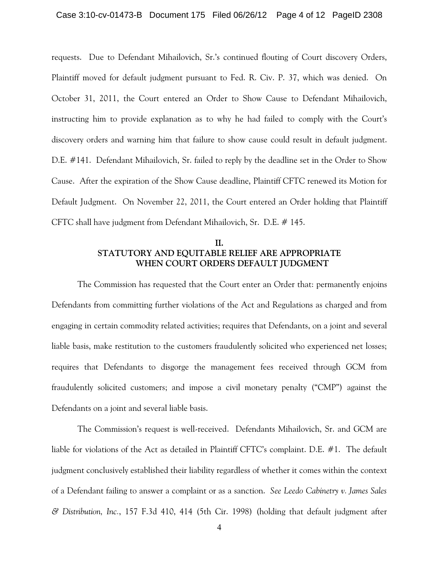#### Case 3:10-cv-01473-B Document 175 Filed 06/26/12 Page 4 of 12 PageID 2308

requests. Due to Defendant Mihailovich, Sr.'s continued flouting of Court discovery Orders, Plaintiff moved for default judgment pursuant to Fed. R. Civ. P. 37, which was denied. On October 31, 2011, the Court entered an Order to Show Cause to Defendant Mihailovich, instructing him to provide explanation as to why he had failed to comply with the Court's discovery orders and warning him that failure to show cause could result in default judgment. D.E. #141. Defendant Mihailovich, Sr. failed to reply by the deadline set in the Order to Show Cause. After the expiration of the Show Cause deadline, Plaintiff CFTC renewed its Motion for Default Judgment. On November 22, 2011, the Court entered an Order holding that Plaintiff CFTC shall have judgment from Defendant Mihailovich, Sr. D.E. # 145.

## **II. STATUTORY AND EQUITABLE RELIEF ARE APPROPRIATE WHEN COURT ORDERS DEFAULT JUDGMENT**

The Commission has requested that the Court enter an Order that: permanently enjoins Defendants from committing further violations of the Act and Regulations as charged and from engaging in certain commodity related activities; requires that Defendants, on a joint and several liable basis, make restitution to the customers fraudulently solicited who experienced net losses; requires that Defendants to disgorge the management fees received through GCM from fraudulently solicited customers; and impose a civil monetary penalty ("CMP") against the Defendants on a joint and several liable basis.

The Commission's request is well-received. Defendants Mihailovich, Sr. and GCM are liable for violations of the Act as detailed in Plaintiff CFTC's complaint. D.E. #1. The default judgment conclusively established their liability regardless of whether it comes within the context of a Defendant failing to answer a complaint or as a sanction. *See Leedo Cabinetry v. James Sales & Distribution, Inc.*, 157 F.3d 410, 414 (5th Cir. 1998) (holding that default judgment after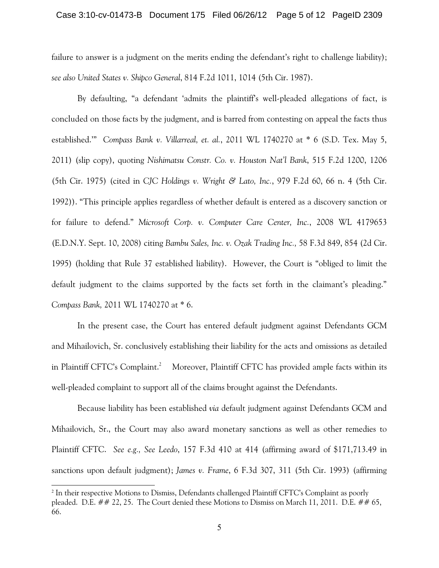#### Case 3:10-cv-01473-B Document 175 Filed 06/26/12 Page 5 of 12 PageID 2309

failure to answer is a judgment on the merits ending the defendant's right to challenge liability); *see also United States v. Shipco General*, 814 F.2d 1011, 1014 (5th Cir. 1987).

By defaulting, "a defendant 'admits the plaintiff's well-pleaded allegations of fact, is concluded on those facts by the judgment, and is barred from contesting on appeal the facts thus established.'" *Compass Bank v. Villarreal, et. al.*, 2011 WL 1740270 at \* 6 (S.D. Tex. May 5, 2011) (slip copy), quoting *Nishimatsu Constr. Co. v. Houston Nat'l Bank*, 515 F.2d 1200, 1206 (5th Cir. 1975) (cited in *CJC Holdings v. Wright & Lato, Inc.*, 979 F.2d 60, 66 n. 4 (5th Cir. 1992)). "This principle applies regardless of whether default is entered as a discovery sanction or for failure to defend." *Microsoft Corp. v. Computer Care Center, Inc.*, 2008 WL 4179653 (E.D.N.Y. Sept. 10, 2008) citing *Bambu Sales, Inc. v. Ozak Trading Inc.,* 58 F.3d 849, 854 (2d Cir. 1995) (holding that Rule 37 established liability). However, the Court is "obliged to limit the default judgment to the claims supported by the facts set forth in the claimant's pleading." *Compass Bank,* 2011 WL 1740270 at \* 6.

In the present case, the Court has entered default judgment against Defendants GCM and Mihailovich, Sr. conclusively establishing their liability for the acts and omissions as detailed in Plaintiff CFTC's Complaint.<sup>2</sup> Moreover, Plaintiff CFTC has provided ample facts within its well-pleaded complaint to support all of the claims brought against the Defendants.

Because liability has been established *via* default judgment against Defendants GCM and Mihailovich, Sr., the Court may also award monetary sanctions as well as other remedies to Plaintiff CFTC. *See e.g., See Leedo*, 157 F.3d 410 at 414 (affirming award of \$171,713.49 in sanctions upon default judgment); *James v. Frame*, 6 F.3d 307, 311 (5th Cir. 1993) (affirming

<sup>&</sup>lt;sup>2</sup> In their respective Motions to Dismiss, Defendants challenged Plaintiff CFTC's Complaint as poorly pleaded. D.E. ## 22, 25. The Court denied these Motions to Dismiss on March 11, 2011. D.E. ## 65, 66.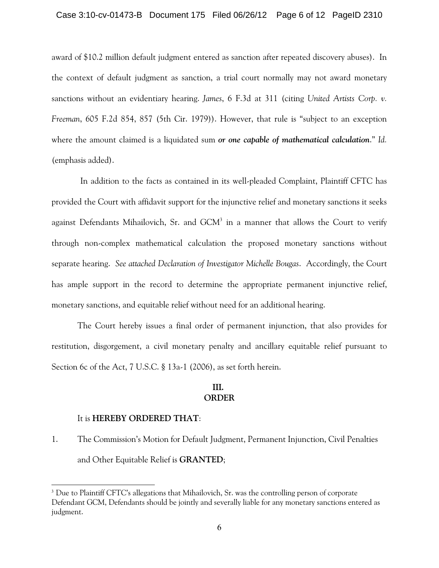#### Case 3:10-cv-01473-B Document 175 Filed 06/26/12 Page 6 of 12 PageID 2310

award of \$10.2 million default judgment entered as sanction after repeated discovery abuses). In the context of default judgment as sanction, a trial court normally may not award monetary sanctions without an evidentiary hearing. *James*, 6 F.3d at 311 (citing *United Artists Corp. v. Freeman*, 605 F.2d 854, 857 (5th Cir. 1979)). However, that rule is "subject to an exception where the amount claimed is a liquidated sum *or one capable of mathematical calculation*." *Id.* (emphasis added).

In addition to the facts as contained in its well-pleaded Complaint, Plaintiff CFTC has provided the Court with affidavit support for the injunctive relief and monetary sanctions it seeks against Defendants Mihailovich, Sr. and  $GCM<sup>3</sup>$  in a manner that allows the Court to verify through non-complex mathematical calculation the proposed monetary sanctions without separate hearing. *See attached Declaration of Investigator Michelle Bougas*. Accordingly, the Court has ample support in the record to determine the appropriate permanent injunctive relief, monetary sanctions, and equitable relief without need for an additional hearing.

The Court hereby issues a final order of permanent injunction, that also provides for restitution, disgorgement, a civil monetary penalty and ancillary equitable relief pursuant to Section 6c of the Act, 7 U.S.C. § 13a-1 (2006), as set forth herein.

## **III. ORDER**

## It is **HEREBY ORDERED THAT**:

1. The Commission's Motion for Default Judgment, Permanent Injunction, Civil Penalties and Other Equitable Relief is **GRANTED**;

<sup>&</sup>lt;sup>3</sup> Due to Plaintiff CFTC's allegations that Mihailovich, Sr. was the controlling person of corporate Defendant GCM, Defendants should be jointly and severally liable for any monetary sanctions entered as judgment.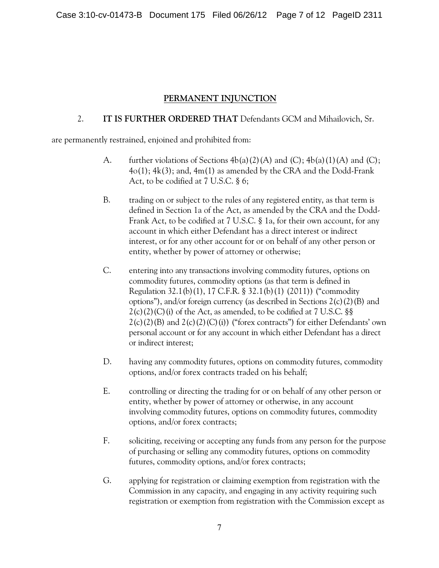# **PERMANENT INJUNCTION**

# 2. **IT IS FURTHER ORDERED THAT** Defendants GCM and Mihailovich, Sr.

are permanently restrained, enjoined and prohibited from:

- A. further violations of Sections  $4b(a)(2)(A)$  and  $(C)$ ;  $4b(a)(1)(A)$  and  $(C)$ ;  $4o(1)$ ;  $4k(3)$ ; and,  $4m(1)$  as amended by the CRA and the Dodd-Frank Act, to be codified at 7 U.S.C. § 6;
- B. trading on or subject to the rules of any registered entity, as that term is defined in Section 1a of the Act, as amended by the CRA and the Dodd-Frank Act, to be codified at 7 U.S.C. § 1a, for their own account, for any account in which either Defendant has a direct interest or indirect interest, or for any other account for or on behalf of any other person or entity, whether by power of attorney or otherwise;
- C. entering into any transactions involving commodity futures, options on commodity futures, commodity options (as that term is defined in Regulation 32.1(b)(1), 17 C.F.R. § 32.1(b)(1) (2011)) ("commodity options"), and/or foreign currency (as described in Sections  $2(c)(2)(B)$  and  $2(c)(2)(C)(i)$  of the Act, as amended, to be codified at 7 U.S.C. §§  $2(c)(2)(B)$  and  $2(c)(2)(C)(i)$  ("forex contracts") for either Defendants' own personal account or for any account in which either Defendant has a direct or indirect interest;
- D. having any commodity futures, options on commodity futures, commodity options, and/or forex contracts traded on his behalf;
- E. controlling or directing the trading for or on behalf of any other person or entity, whether by power of attorney or otherwise, in any account involving commodity futures, options on commodity futures, commodity options, and/or forex contracts;
- F. soliciting, receiving or accepting any funds from any person for the purpose of purchasing or selling any commodity futures, options on commodity futures, commodity options, and/or forex contracts;
- G. applying for registration or claiming exemption from registration with the Commission in any capacity, and engaging in any activity requiring such registration or exemption from registration with the Commission except as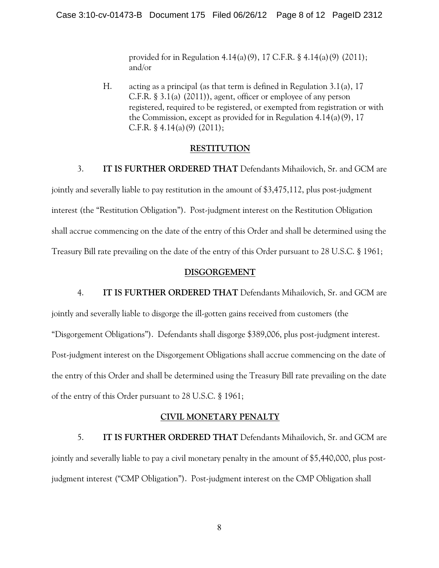provided for in Regulation 4.14(a)(9), 17 C.F.R. § 4.14(a)(9) (2011); and/or

H. acting as a principal (as that term is defined in Regulation 3.1(a), 17 C.F.R. § 3.1(a) (2011)), agent, officer or employee of any person registered, required to be registered, or exempted from registration or with the Commission, except as provided for in Regulation 4.14(a)(9), 17 C.F.R.  $\S$  4.14(a)(9) (2011);

## **RESTITUTION**

## 3. **IT IS FURTHER ORDERED THAT** Defendants Mihailovich, Sr. and GCM are

jointly and severally liable to pay restitution in the amount of \$3,475,112, plus post-judgment interest (the "Restitution Obligation"). Post-judgment interest on the Restitution Obligation shall accrue commencing on the date of the entry of this Order and shall be determined using the Treasury Bill rate prevailing on the date of the entry of this Order pursuant to 28 U.S.C. § 1961;

#### **DISGORGEMENT**

4. **IT IS FURTHER ORDERED THAT** Defendants Mihailovich, Sr. and GCM are jointly and severally liable to disgorge the ill-gotten gains received from customers (the "Disgorgement Obligations"). Defendants shall disgorge \$389,006, plus post-judgment interest. Post-judgment interest on the Disgorgement Obligations shall accrue commencing on the date of the entry of this Order and shall be determined using the Treasury Bill rate prevailing on the date of the entry of this Order pursuant to 28 U.S.C. § 1961;

## **CIVIL MONETARY PENALTY**

5. **IT IS FURTHER ORDERED THAT** Defendants Mihailovich, Sr. and GCM are jointly and severally liable to pay a civil monetary penalty in the amount of \$5,440,000, plus postjudgment interest ("CMP Obligation"). Post-judgment interest on the CMP Obligation shall

8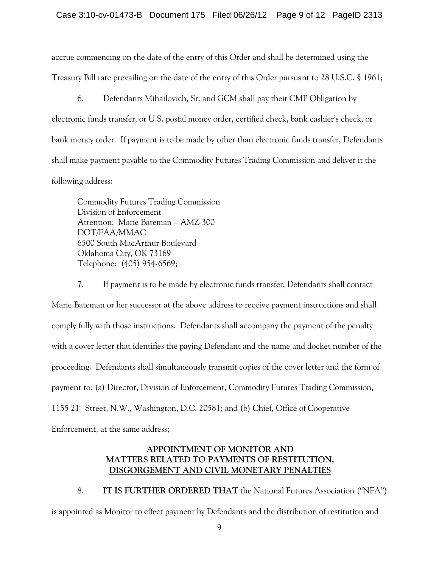accrue commencing on the date of the entry of this Order and shall be determined using the Treasury Bill rate prevailing on the date of the entry of this Order pursuant to 28 U.S.C. § 1961;

6. Defendants Mihailovich, Sr. and GCM shall pay their CMP Obligation by electronic funds transfer, or U.S. postal money order, certified check, bank cashier's check, or bank money order. If payment is to be made by other than electronic funds transfer, Defendants shall make payment payable to the Commodity Futures Trading Commission and deliver it the following address:

Commodity Futures Trading Commission Division of Enforcement Attention: Marie Bateman – AMZ-300 DOT/FAA/MMAC 6500 South MacArthur Boulevard Oklahoma City, OK 73169 Telephone: (405) 954-6569;

7. If payment is to be made by electronic funds transfer, Defendants shall contact Marie Bateman or her successor at the above address to receive payment instructions and shall comply fully with those instructions. Defendants shall accompany the payment of the penalty with a cover letter that identifies the paying Defendant and the name and docket number of the proceeding. Defendants shall simultaneously transmit copies of the cover letter and the form of payment to: (a) Director, Division of Enforcement, Commodity Futures Trading Commission, 1155  $21^{st}$  Street, N.W., Washington, D.C. 20581; and (b) Chief, Office of Cooperative Enforcement, at the same address;

# **APPOINTMENT OF MONITOR AND MATTERS RELATED TO PAYMENTS OF RESTITUTION, DISGORGEMENT AND CIVIL MONETARY PENALTIES**

8. **IT IS FURTHER ORDERED THAT** the National Futures Association ("NFA") is appointed as Monitor to effect payment by Defendants and the distribution of restitution and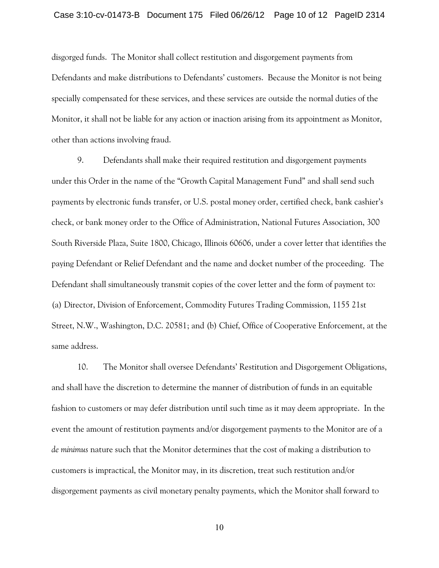#### Case 3:10-cv-01473-B Document 175 Filed 06/26/12 Page 10 of 12 PageID 2314

disgorged funds. The Monitor shall collect restitution and disgorgement payments from Defendants and make distributions to Defendants' customers. Because the Monitor is not being specially compensated for these services, and these services are outside the normal duties of the Monitor, it shall not be liable for any action or inaction arising from its appointment as Monitor, other than actions involving fraud.

9. Defendants shall make their required restitution and disgorgement payments under this Order in the name of the "Growth Capital Management Fund" and shall send such payments by electronic funds transfer, or U.S. postal money order, certified check, bank cashier's check, or bank money order to the Office of Administration, National Futures Association, 300 South Riverside Plaza, Suite 1800, Chicago, Illinois 60606, under a cover letter that identifies the paying Defendant or Relief Defendant and the name and docket number of the proceeding. The Defendant shall simultaneously transmit copies of the cover letter and the form of payment to: (a) Director, Division of Enforcement, Commodity Futures Trading Commission, 1155 21st Street, N.W., Washington, D.C. 20581; and (b) Chief, Office of Cooperative Enforcement, at the same address.

10. The Monitor shall oversee Defendants' Restitution and Disgorgement Obligations, and shall have the discretion to determine the manner of distribution of funds in an equitable fashion to customers or may defer distribution until such time as it may deem appropriate. In the event the amount of restitution payments and/or disgorgement payments to the Monitor are of a *de minimus* nature such that the Monitor determines that the cost of making a distribution to customers is impractical, the Monitor may, in its discretion, treat such restitution and/or disgorgement payments as civil monetary penalty payments, which the Monitor shall forward to

10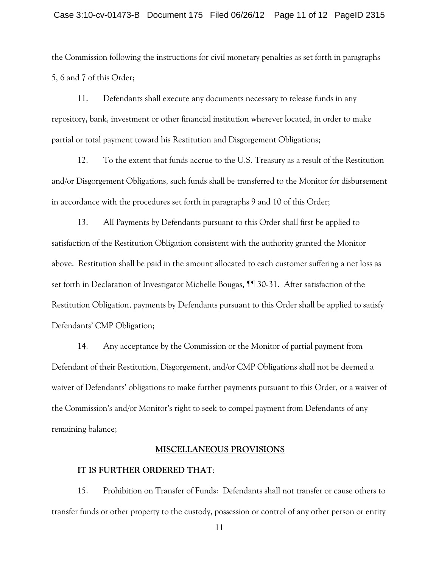## Case 3:10-cv-01473-B Document 175 Filed 06/26/12 Page 11 of 12 PageID 2315

the Commission following the instructions for civil monetary penalties as set forth in paragraphs 5, 6 and 7 of this Order;

11. Defendants shall execute any documents necessary to release funds in any repository, bank, investment or other financial institution wherever located, in order to make partial or total payment toward his Restitution and Disgorgement Obligations;

12. To the extent that funds accrue to the U.S. Treasury as a result of the Restitution and/or Disgorgement Obligations, such funds shall be transferred to the Monitor for disbursement in accordance with the procedures set forth in paragraphs 9 and 10 of this Order;

13. All Payments by Defendants pursuant to this Order shall first be applied to satisfaction of the Restitution Obligation consistent with the authority granted the Monitor above. Restitution shall be paid in the amount allocated to each customer suffering a net loss as set forth in Declaration of Investigator Michelle Bougas, ¶¶ 30-31. After satisfaction of the Restitution Obligation, payments by Defendants pursuant to this Order shall be applied to satisfy Defendants' CMP Obligation;

14. Any acceptance by the Commission or the Monitor of partial payment from Defendant of their Restitution, Disgorgement, and/or CMP Obligations shall not be deemed a waiver of Defendants' obligations to make further payments pursuant to this Order, or a waiver of the Commission's and/or Monitor's right to seek to compel payment from Defendants of any remaining balance;

## **MISCELLANEOUS PROVISIONS**

#### **IT IS FURTHER ORDERED THAT**:

15. Prohibition on Transfer of Funds: Defendants shall not transfer or cause others to transfer funds or other property to the custody, possession or control of any other person or entity